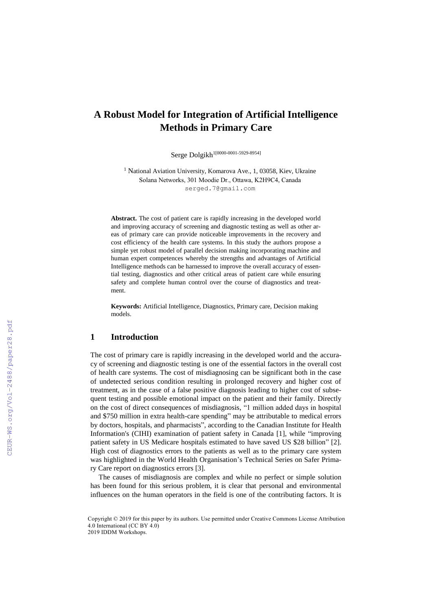# **A Robust Model for Integration of Artificial Intelligence Methods in Primary Care**

Serge Dolgikh 1[0000-0001-5929-8954]

<sup>1</sup> National Aviation University, Komarova Ave., 1, 03058, Kiev, Ukraine Solana Networks, 301 Moodie Dr., Ottawa, K2H9C4, Canada [serged.7@gmail.com](mailto:serged.7@gmail.com)

**Abstract.** The cost of patient care is rapidly increasing in the developed world and improving accuracy of screening and diagnostic testing as well as other areas of primary care can provide noticeable improvements in the recovery and cost efficiency of the health care systems. In this study the authors propose a simple yet robust model of parallel decision making incorporating machine and human expert competences whereby the strengths and advantages of Artificial Intelligence methods can be harnessed to improve the overall accuracy of essential testing, diagnostics and other critical areas of patient care while ensuring safety and complete human control over the course of diagnostics and treatment.

**Keywords:** Artificial Intelligence, Diagnostics, Primary care, Decision making models.

## **1 Introduction**

The cost of primary care is rapidly increasing in the developed world and the accuracy of screening and diagnostic testing is one of the essential factors in the overall cost of health care systems. The cost of misdiagnosing can be significant both in the case of undetected serious condition resulting in prolonged recovery and higher cost of treatment, as in the case of a false positive diagnosis leading to higher cost of subsequent testing and possible emotional impact on the patient and their family. Directly on the cost of direct consequences of misdiagnosis, "1 million added days in hospital and \$750 million in extra health-care spending" may be attributable to medical errors by doctors, hospitals, and pharmacists", according to the Canadian Institute for Health Information's (CIHI) examination of patient safety in Canada [1], while "improving patient safety in US Medicare hospitals estimated to have saved US \$28 billion" [2]. High cost of diagnostics errors to the patients as well as to the primary care system was highlighted in the World Health Organisation's Technical Series on Safer Primary Care report on diagnostics errors [3].

The causes of misdiagnosis are complex and while no perfect or simple solution has been found for this serious problem, it is clear that personal and environmental influences on the human operators in the field is one of the contributing factors. It is

Copyright © 2019 for this paper by its authors. Use permitted under Creative Commons License Attribution 4.0 International (CC BY 4.0) 2019 IDDM Workshops.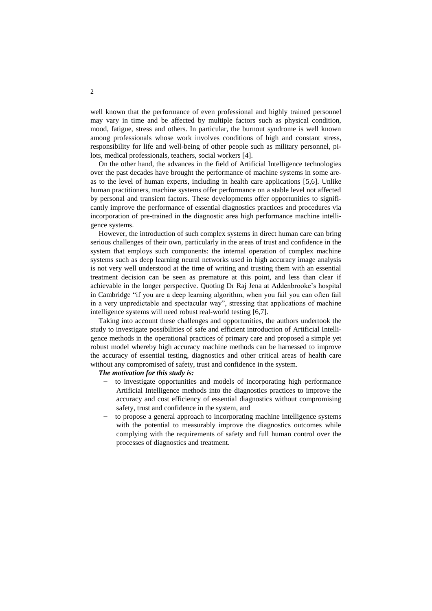well known that the performance of even professional and highly trained personnel may vary in time and be affected by multiple factors such as physical condition, mood, fatigue, stress and others. In particular, the burnout syndrome is well known among professionals whose work involves conditions of high and constant stress, responsibility for life and well-being of other people such as military personnel, pilots, medical professionals, teachers, social workers [4].

On the other hand, the advances in the field of Artificial Intelligence technologies over the past decades have brought the performance of machine systems in some areas to the level of human experts, including in health care applications [5,6]. Unlike human practitioners, machine systems offer performance on a stable level not affected by personal and transient factors. These developments offer opportunities to significantly improve the performance of essential diagnostics practices and procedures via incorporation of pre-trained in the diagnostic area high performance machine intelligence systems.

However, the introduction of such complex systems in direct human care can bring serious challenges of their own, particularly in the areas of trust and confidence in the system that employs such components: the internal operation of complex machine systems such as deep learning neural networks used in high accuracy image analysis is not very well understood at the time of writing and trusting them with an essential treatment decision can be seen as premature at this point, and less than clear if achievable in the longer perspective. Quoting Dr Raj Jena at Addenbrooke's hospital in Cambridge "if you are a deep learning algorithm, when you fail you can often fail in a very unpredictable and spectacular way", stressing that applications of machine intelligence systems will need robust real-world testing [6,7].

Taking into account these challenges and opportunities, the authors undertook the study to investigate possibilities of safe and efficient introduction of Artificial Intelligence methods in the operational practices of primary care and proposed a simple yet robust model whereby high accuracy machine methods can be harnessed to improve the accuracy of essential testing, diagnostics and other critical areas of health care without any compromised of safety, trust and confidence in the system.

#### *The motivation for this study is:*

- to investigate opportunities and models of incorporating high performance Artificial Intelligence methods into the diagnostics practices to improve the accuracy and cost efficiency of essential diagnostics without compromising safety, trust and confidence in the system, and
- to propose a general approach to incorporating machine intelligence systems with the potential to measurably improve the diagnostics outcomes while complying with the requirements of safety and full human control over the processes of diagnostics and treatment.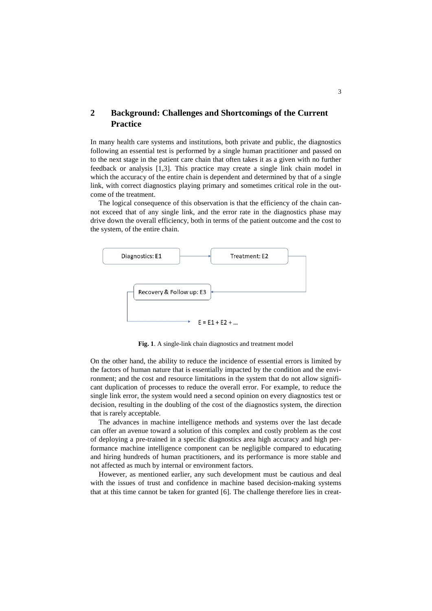## **2 Background: Challenges and Shortcomings of the Current Practice**

In many health care systems and institutions, both private and public, the diagnostics following an essential test is performed by a single human practitioner and passed on to the next stage in the patient care chain that often takes it as a given with no further feedback or analysis [1,3]. This practice may create a single link chain model in which the accuracy of the entire chain is dependent and determined by that of a single link, with correct diagnostics playing primary and sometimes critical role in the outcome of the treatment.

The logical consequence of this observation is that the efficiency of the chain cannot exceed that of any single link, and the error rate in the diagnostics phase may drive down the overall efficiency, both in terms of the patient outcome and the cost to the system, of the entire chain.



**Fig. 1**. A single-link chain diagnostics and treatment model

On the other hand, the ability to reduce the incidence of essential errors is limited by the factors of human nature that is essentially impacted by the condition and the environment; and the cost and resource limitations in the system that do not allow significant duplication of processes to reduce the overall error. For example, to reduce the single link error, the system would need a second opinion on every diagnostics test or decision, resulting in the doubling of the cost of the diagnostics system, the direction that is rarely acceptable.

The advances in machine intelligence methods and systems over the last decade can offer an avenue toward a solution of this complex and costly problem as the cost of deploying a pre-trained in a specific diagnostics area high accuracy and high performance machine intelligence component can be negligible compared to educating and hiring hundreds of human practitioners, and its performance is more stable and not affected as much by internal or environment factors.

However, as mentioned earlier, any such development must be cautious and deal with the issues of trust and confidence in machine based decision-making systems that at this time cannot be taken for granted [6]. The challenge therefore lies in creat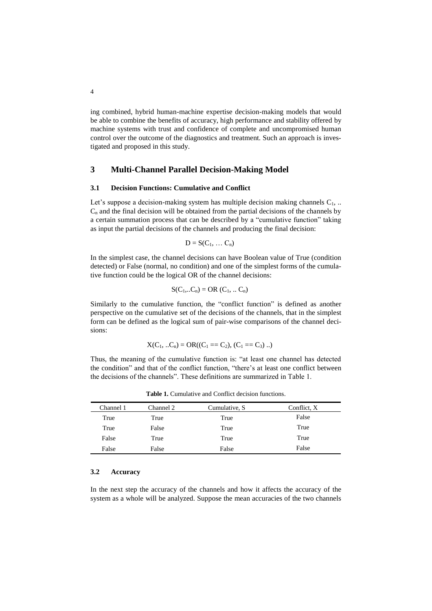ing combined, hybrid human-machine expertise decision-making models that would be able to combine the benefits of accuracy, high performance and stability offered by machine systems with trust and confidence of complete and uncompromised human control over the outcome of the diagnostics and treatment. Such an approach is investigated and proposed in this study.

#### **3 Multi-Channel Parallel Decision-Making Model**

#### **3.1 Decision Functions: Cumulative and Conflict**

Let's suppose a decision-making system has multiple decision making channels  $C_1$ , ..  $C_n$  and the final decision will be obtained from the partial decisions of the channels by a certain summation process that can be described by a "cumulative function" taking as input the partial decisions of the channels and producing the final decision:

$$
D = S(C_1, \ldots C_n)
$$

In the simplest case, the channel decisions can have Boolean value of True (condition detected) or False (normal, no condition) and one of the simplest forms of the cumulative function could be the logical OR of the channel decisions:

$$
S(C_1,...C_n) = OR (C_1,... C_n)
$$

Similarly to the cumulative function, the "conflict function" is defined as another perspective on the cumulative set of the decisions of the channels, that in the simplest form can be defined as the logical sum of pair-wise comparisons of the channel decisions:

$$
X(C_1, ... C_n) = OR((C_1 == C_2), (C_1 == C_3) ...)
$$

Thus, the meaning of the cumulative function is: "at least one channel has detected the condition" and that of the conflict function, "there's at least one conflict between the decisions of the channels". These definitions are summarized in Table 1.

| Channel 1 | Channel 2 | Cumulative, S. | Conflict, X |
|-----------|-----------|----------------|-------------|
| True      | True      | True           | False       |
| True      | False     | True           | True        |
| False     | True      | True           | True        |
| False     | False     | False          | False       |

**Table 1.** Cumulative and Conflict decision functions.

#### **3.2 Accuracy**

In the next step the accuracy of the channels and how it affects the accuracy of the system as a whole will be analyzed. Suppose the mean accuracies of the two channels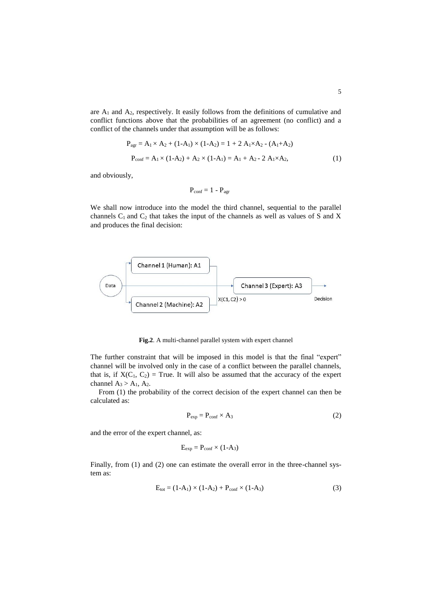are  $A_1$  and  $A_2$ , respectively. It easily follows from the definitions of cumulative and conflict functions above that the probabilities of an agreement (no conflict) and a conflict of the channels under that assumption will be as follows:

$$
P_{agr} = A_1 \times A_2 + (1-A_1) \times (1-A_2) = 1 + 2 A_1 \times A_2 - (A_1 + A_2)
$$
  
\n
$$
P_{conf} = A_1 \times (1-A_2) + A_2 \times (1-A_1) = A_1 + A_2 - 2 A_1 \times A_2,
$$
 (1)

and obviously,

$$
P_{conf} = 1 \text{ -- } P_{agr}
$$

We shall now introduce into the model the third channel, sequential to the parallel channels  $C_1$  and  $C_2$  that takes the input of the channels as well as values of S and X and produces the final decision:



**Fig.2**. A multi-channel parallel system with expert channel

The further constraint that will be imposed in this model is that the final "expert" channel will be involved only in the case of a conflict between the parallel channels, that is, if  $X(C_1, C_2)$  = True. It will also be assumed that the accuracy of the expert channel  $A_3 > A_1$ ,  $A_2$ .

From (1) the probability of the correct decision of the expert channel can then be calculated as:

$$
P_{\rm exp} = P_{\rm conf} \times A_3 \tag{2}
$$

and the error of the expert channel, as:

$$
E_{exp} = P_{conf} \times (1-A_3)
$$

Finally, from (1) and (2) one can estimate the overall error in the three-channel system as:

$$
E_{\text{tot}} = (1 - A_1) \times (1 - A_2) + P_{\text{conf}} \times (1 - A_3)
$$
 (3)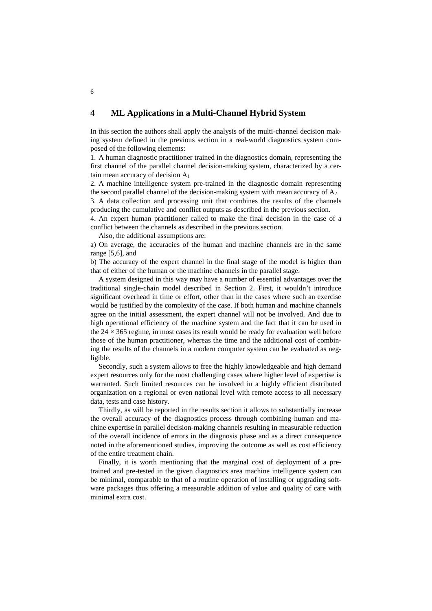## **4 ML Applications in a Multi-Channel Hybrid System**

In this section the authors shall apply the analysis of the multi-channel decision making system defined in the previous section in a real-world diagnostics system composed of the following elements:

1. A human diagnostic practitioner trained in the diagnostics domain, representing the first channel of the parallel channel decision-making system, characterized by a certain mean accuracy of decision A<sup>1</sup>

2. A machine intelligence system pre-trained in the diagnostic domain representing the second parallel channel of the decision-making system with mean accuracy of  $A_2$ 3. A data collection and processing unit that combines the results of the channels producing the cumulative and conflict outputs as described in the previous section.

4. An expert human practitioner called to make the final decision in the case of a conflict between the channels as described in the previous section.

Also, the additional assumptions are:

a) On average, the accuracies of the human and machine channels are in the same range [5,6], and

b) The accuracy of the expert channel in the final stage of the model is higher than that of either of the human or the machine channels in the parallel stage.

A system designed in this way may have a number of essential advantages over the traditional single-chain model described in Section 2. First, it wouldn't introduce significant overhead in time or effort, other than in the cases where such an exercise would be justified by the complexity of the case. If both human and machine channels agree on the initial assessment, the expert channel will not be involved. And due to high operational efficiency of the machine system and the fact that it can be used in the  $24 \times 365$  regime, in most cases its result would be ready for evaluation well before those of the human practitioner, whereas the time and the additional cost of combining the results of the channels in a modern computer system can be evaluated as negligible.

Secondly, such a system allows to free the highly knowledgeable and high demand expert resources only for the most challenging cases where higher level of expertise is warranted. Such limited resources can be involved in a highly efficient distributed organization on a regional or even national level with remote access to all necessary data, tests and case history.

Thirdly, as will be reported in the results section it allows to substantially increase the overall accuracy of the diagnostics process through combining human and machine expertise in parallel decision-making channels resulting in measurable reduction of the overall incidence of errors in the diagnosis phase and as a direct consequence noted in the aforementioned studies, improving the outcome as well as cost efficiency of the entire treatment chain.

Finally, it is worth mentioning that the marginal cost of deployment of a pretrained and pre-tested in the given diagnostics area machine intelligence system can be minimal, comparable to that of a routine operation of installing or upgrading software packages thus offering a measurable addition of value and quality of care with minimal extra cost.

6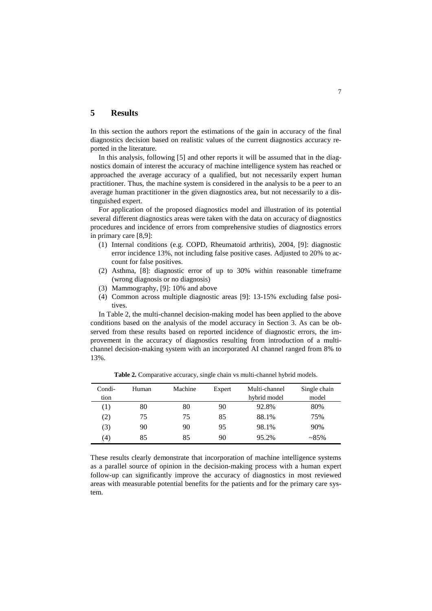## **5 Results**

In this section the authors report the estimations of the gain in accuracy of the final diagnostics decision based on realistic values of the current diagnostics accuracy reported in the literature.

In this analysis, following [5] and other reports it will be assumed that in the diagnostics domain of interest the accuracy of machine intelligence system has reached or approached the average accuracy of a qualified, but not necessarily expert human practitioner. Thus, the machine system is considered in the analysis to be a peer to an average human practitioner in the given diagnostics area, but not necessarily to a distinguished expert.

For application of the proposed diagnostics model and illustration of its potential several different diagnostics areas were taken with the data on accuracy of diagnostics procedures and incidence of errors from comprehensive studies of diagnostics errors in primary care [8,9]:

- (1) Internal conditions (e.g. COPD, Rheumatoid arthritis), 2004, [9]: diagnostic error incidence 13%, not including false positive cases. Adjusted to 20% to account for false positives.
- (2) Asthma, [8]: diagnostic error of up to 30% within reasonable timeframe (wrong diagnosis or no diagnosis)
- (3) Mammography, [9]: 10% and above
- (4) Common across multiple diagnostic areas [9]: 13-15% excluding false positives.

In Table 2, the multi-channel decision-making model has been applied to the above conditions based on the analysis of the model accuracy in Section 3. As can be observed from these results based on reported incidence of diagnostic errors, the improvement in the accuracy of diagnostics resulting from introduction of a multichannel decision-making system with an incorporated AI channel ranged from 8% to 13%.

| Condi-            | Human | Machine | Expert | Multi-channel | Single chain |
|-------------------|-------|---------|--------|---------------|--------------|
| tion              |       |         |        | hybrid model  | model        |
| (1)               | 80    | 80      | 90     | 92.8%         | 80%          |
| (2)               | 75    | 75      | 85     | 88.1%         | 75%          |
| (3)               | 90    | 90      | 95     | 98.1%         | 90%          |
| $\left( 4\right)$ | 85    | 85      | 90     | 95.2%         | $~285\%$     |
|                   |       |         |        |               |              |

**Table 2.** Comparative accuracy, single chain vs multi-channel hybrid models.

These results clearly demonstrate that incorporation of machine intelligence systems as a parallel source of opinion in the decision-making process with a human expert follow-up can significantly improve the accuracy of diagnostics in most reviewed areas with measurable potential benefits for the patients and for the primary care system.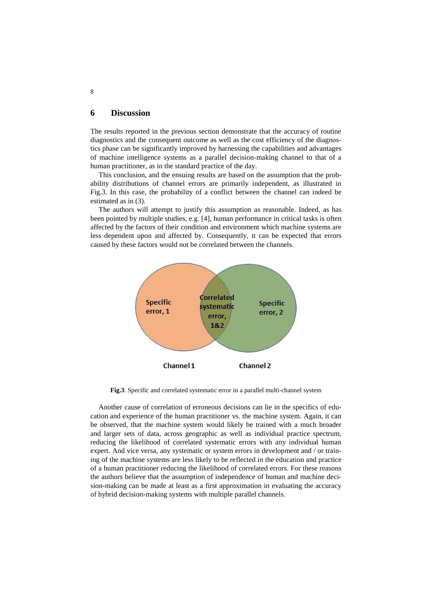## **6 Discussion**

The results reported in the previous section demonstrate that the accuracy of routine diagnostics and the consequent outcome as well as the cost efficiency of the diagnostics phase can be significantly improved by harnessing the capabilities and advantages of machine intelligence systems as a parallel decision-making channel to that of a human practitioner, as in the standard practice of the day.

This conclusion, and the ensuing results are based on the assumption that the probability distributions of channel errors are primarily independent, as illustrated in Fig.3. In this case, the probability of a conflict between the channel can indeed be estimated as in (3).

The authors will attempt to justify this assumption as reasonable. Indeed, as has been pointed by multiple studies, e.g. [4], human performance in critical tasks is often affected by the factors of their condition and environment which machine systems are less dependent upon and affected by. Consequently, it can be expected that errors caused by these factors would not be correlated between the channels.



**Fig.3**. Specific and correlated systematic error in a parallel multi-channel system

Another cause of correlation of erroneous decisions can lie in the specifics of education and experience of the human practitioner vs. the machine system. Again, it can be observed, that the machine system would likely be trained with a much broader and larger sets of data, across geographic as well as individual practice spectrum, reducing the likelihood of correlated systematic errors with any individual human expert. And vice versa, any systematic or system errors in development and / or training of the machine systems are less likely to be reflected in the education and practice of a human practitioner reducing the likelihood of correlated errors. For these reasons the authors believe that the assumption of independence of human and machine decision-making can be made at least as a first approximation in evaluating the accuracy of hybrid decision-making systems with multiple parallel channels.

8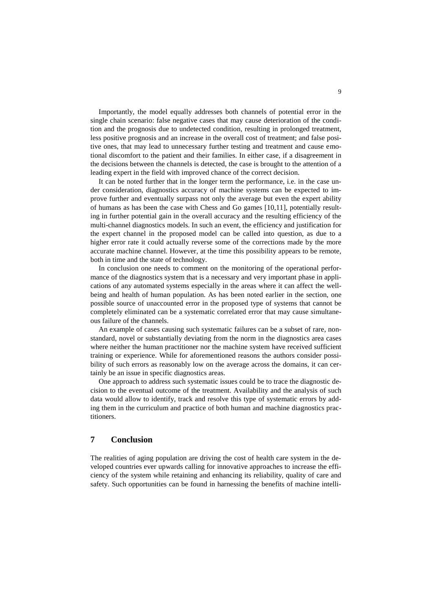Importantly, the model equally addresses both channels of potential error in the single chain scenario: false negative cases that may cause deterioration of the condition and the prognosis due to undetected condition, resulting in prolonged treatment, less positive prognosis and an increase in the overall cost of treatment; and false positive ones, that may lead to unnecessary further testing and treatment and cause emotional discomfort to the patient and their families. In either case, if a disagreement in the decisions between the channels is detected, the case is brought to the attention of a leading expert in the field with improved chance of the correct decision.

It can be noted further that in the longer term the performance, i.e. in the case under consideration, diagnostics accuracy of machine systems can be expected to improve further and eventually surpass not only the average but even the expert ability of humans as has been the case with Chess and Go games [10,11], potentially resulting in further potential gain in the overall accuracy and the resulting efficiency of the multi-channel diagnostics models. In such an event, the efficiency and justification for the expert channel in the proposed model can be called into question, as due to a higher error rate it could actually reverse some of the corrections made by the more accurate machine channel. However, at the time this possibility appears to be remote, both in time and the state of technology.

In conclusion one needs to comment on the monitoring of the operational performance of the diagnostics system that is a necessary and very important phase in applications of any automated systems especially in the areas where it can affect the wellbeing and health of human population. As has been noted earlier in the section, one possible source of unaccounted error in the proposed type of systems that cannot be completely eliminated can be a systematic correlated error that may cause simultaneous failure of the channels.

An example of cases causing such systematic failures can be a subset of rare, nonstandard, novel or substantially deviating from the norm in the diagnostics area cases where neither the human practitioner nor the machine system have received sufficient training or experience. While for aforementioned reasons the authors consider possibility of such errors as reasonably low on the average across the domains, it can certainly be an issue in specific diagnostics areas.

One approach to address such systematic issues could be to trace the diagnostic decision to the eventual outcome of the treatment. Availability and the analysis of such data would allow to identify, track and resolve this type of systematic errors by adding them in the curriculum and practice of both human and machine diagnostics practitioners.

## **7 Conclusion**

The realities of aging population are driving the cost of health care system in the developed countries ever upwards calling for innovative approaches to increase the efficiency of the system while retaining and enhancing its reliability, quality of care and safety. Such opportunities can be found in harnessing the benefits of machine intelli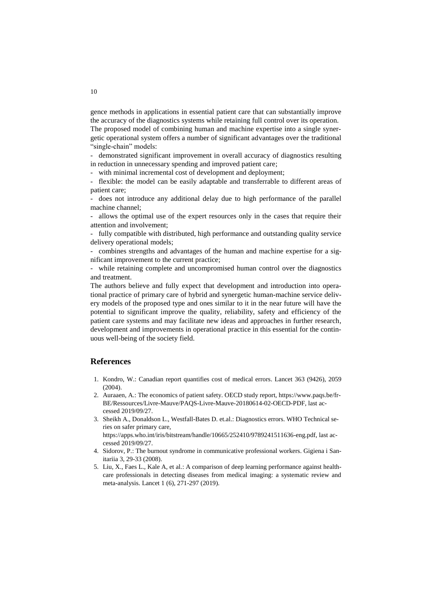gence methods in applications in essential patient care that can substantially improve the accuracy of the diagnostics systems while retaining full control over its operation. The proposed model of combining human and machine expertise into a single synergetic operational system offers a number of significant advantages over the traditional "single-chain" models:

- demonstrated significant improvement in overall accuracy of diagnostics resulting in reduction in unnecessary spending and improved patient care;

with minimal incremental cost of development and deployment;

- flexible: the model can be easily adaptable and transferrable to different areas of patient care;

does not introduce any additional delay due to high performance of the parallel machine channel;

- allows the optimal use of the expert resources only in the cases that require their attention and involvement;

- fully compatible with distributed, high performance and outstanding quality service delivery operational models;

- combines strengths and advantages of the human and machine expertise for a significant improvement to the current practice;

while retaining complete and uncompromised human control over the diagnostics and treatment.

The authors believe and fully expect that development and introduction into operational practice of primary care of hybrid and synergetic human-machine service delivery models of the proposed type and ones similar to it in the near future will have the potential to significant improve the quality, reliability, safety and efficiency of the patient care systems and may facilitate new ideas and approaches in further research, development and improvements in operational practice in this essential for the continuous well-being of the society field.

## **References**

- 1. Kondro, W.: Canadian report quantifies cost of medical errors. Lancet 363 (9426), 2059  $(2004)$ .
- 2. Auraaen, A.: The economics of patient safety. OECD study report, [https://www.paqs.be/fr-](https://www.paqs.be/fr-BE/Ressources/Livre-Mauve/PAQS-Livre-Mauve-20180614-02-OECD-PDF)[BE/Ressources/Livre-Mauve/PAQS-Livre-Mauve-20180614-02-OECD-PDF,](https://www.paqs.be/fr-BE/Ressources/Livre-Mauve/PAQS-Livre-Mauve-20180614-02-OECD-PDF) last accessed 2019/09/27.
- 3. Sheikh A., Donaldson L., Westfall-Bates D. et.al.: Diagnostics errors. WHO Technical series on safer primary care, [https://apps.who.int/iris/bitstream/handle/10665/252410/9789241511636-eng.pdf,](https://apps.who.int/iris/bitstream/handle/10665/252410/9789241511636-eng.pdf) last accessed 2019/09/27.
- 4. Sidorov, P.: The burnout syndrome in communicative professional workers. Gigiena i Sanitariia 3, 29-33 (2008).
- 5. Liu, X., Faes L., Kale A, et al.: A comparison of deep learning performance against healthcare professionals in detecting diseases from medical imaging: a systematic review and meta-analysis. Lancet 1 (6), 271-297 (2019).